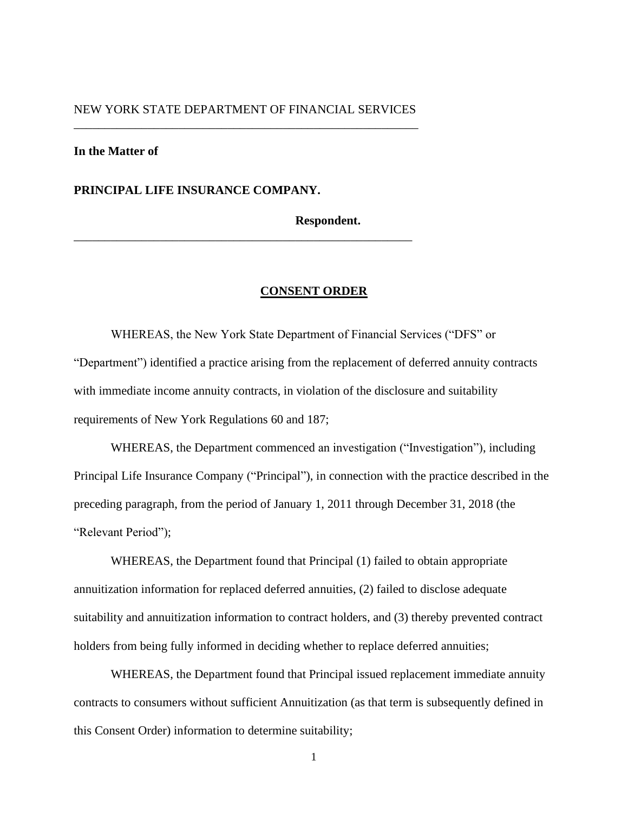# NEW YORK STATE DEPARTMENT OF FINANCIAL SERVICES \_\_\_\_\_\_\_\_\_\_\_\_\_\_\_\_\_\_\_\_\_\_\_\_\_\_\_\_\_\_\_\_\_\_\_\_\_\_\_\_\_\_\_\_\_\_\_\_\_\_\_\_\_\_\_\_

\_\_\_\_\_\_\_\_\_\_\_\_\_\_\_\_\_\_\_\_\_\_\_\_\_\_\_\_\_\_\_\_\_\_\_\_\_\_\_\_\_\_\_\_\_\_\_\_\_\_\_\_\_\_\_

## **In the Matter of**

**PRINCIPAL LIFE INSURANCE COMPANY.**

**Respondent.**

### **CONSENT ORDER**

WHEREAS, the New York State Department of Financial Services ("DFS" or "Department") identified a practice arising from the replacement of deferred annuity contracts with immediate income annuity contracts, in violation of the disclosure and suitability requirements of New York Regulations 60 and 187;

WHEREAS, the Department commenced an investigation ("Investigation"), including Principal Life Insurance Company ("Principal"), in connection with the practice described in the preceding paragraph, from the period of January 1, 2011 through December 31, 2018 (the "Relevant Period");

WHEREAS, the Department found that Principal (1) failed to obtain appropriate annuitization information for replaced deferred annuities, (2) failed to disclose adequate suitability and annuitization information to contract holders, and (3) thereby prevented contract holders from being fully informed in deciding whether to replace deferred annuities;

WHEREAS, the Department found that Principal issued replacement immediate annuity contracts to consumers without sufficient Annuitization (as that term is subsequently defined in this Consent Order) information to determine suitability;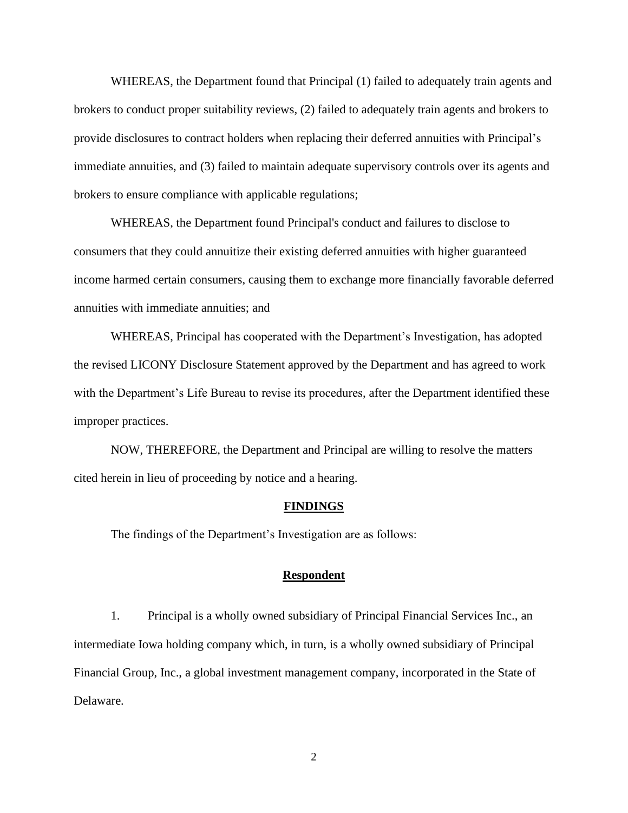WHEREAS, the Department found that Principal (1) failed to adequately train agents and brokers to conduct proper suitability reviews, (2) failed to adequately train agents and brokers to provide disclosures to contract holders when replacing their deferred annuities with Principal's immediate annuities, and (3) failed to maintain adequate supervisory controls over its agents and brokers to ensure compliance with applicable regulations;

WHEREAS, the Department found Principal's conduct and failures to disclose to consumers that they could annuitize their existing deferred annuities with higher guaranteed income harmed certain consumers, causing them to exchange more financially favorable deferred annuities with immediate annuities; and

WHEREAS, Principal has cooperated with the Department's Investigation, has adopted the revised LICONY Disclosure Statement approved by the Department and has agreed to work with the Department's Life Bureau to revise its procedures, after the Department identified these improper practices.

NOW, THEREFORE, the Department and Principal are willing to resolve the matters cited herein in lieu of proceeding by notice and a hearing.

### **FINDINGS**

The findings of the Department's Investigation are as follows:

# **Respondent**

1. Principal is a wholly owned subsidiary of Principal Financial Services Inc., an intermediate Iowa holding company which, in turn, is a wholly owned subsidiary of Principal Financial Group, Inc., a global investment management company, incorporated in the State of Delaware.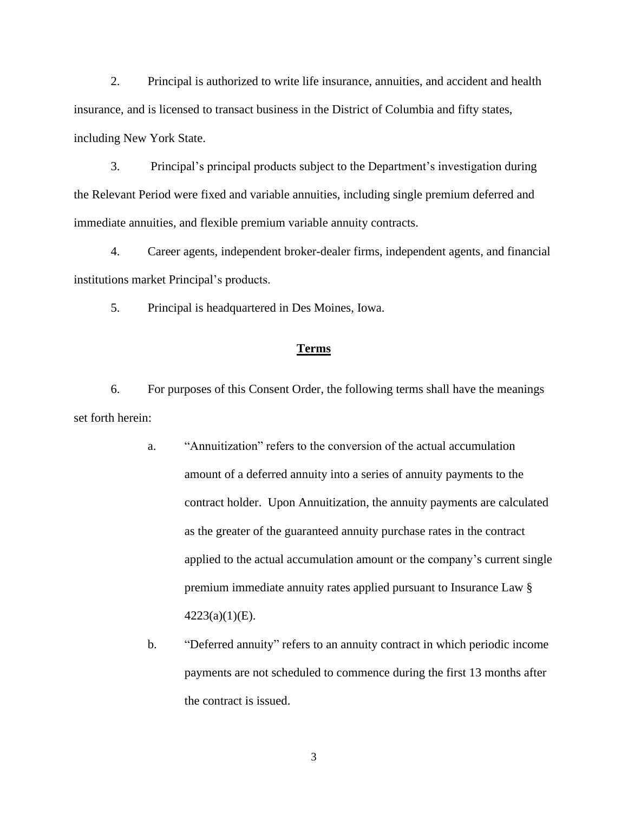2. Principal is authorized to write life insurance, annuities, and accident and health insurance, and is licensed to transact business in the District of Columbia and fifty states, including New York State.

3. Principal's principal products subject to the Department's investigation during the Relevant Period were fixed and variable annuities, including single premium deferred and immediate annuities, and flexible premium variable annuity contracts.

4. Career agents, independent broker-dealer firms, independent agents, and financial institutions market Principal's products.

5. Principal is headquartered in Des Moines, Iowa.

### **Terms**

6. For purposes of this Consent Order, the following terms shall have the meanings set forth herein:

- a. "Annuitization" refers to the conversion of the actual accumulation amount of a deferred annuity into a series of annuity payments to the contract holder. Upon Annuitization, the annuity payments are calculated as the greater of the guaranteed annuity purchase rates in the contract applied to the actual accumulation amount or the company's current single premium immediate annuity rates applied pursuant to Insurance Law §  $4223(a)(1)(E)$ .
- b. "Deferred annuity" refers to an annuity contract in which periodic income payments are not scheduled to commence during the first 13 months after the contract is issued.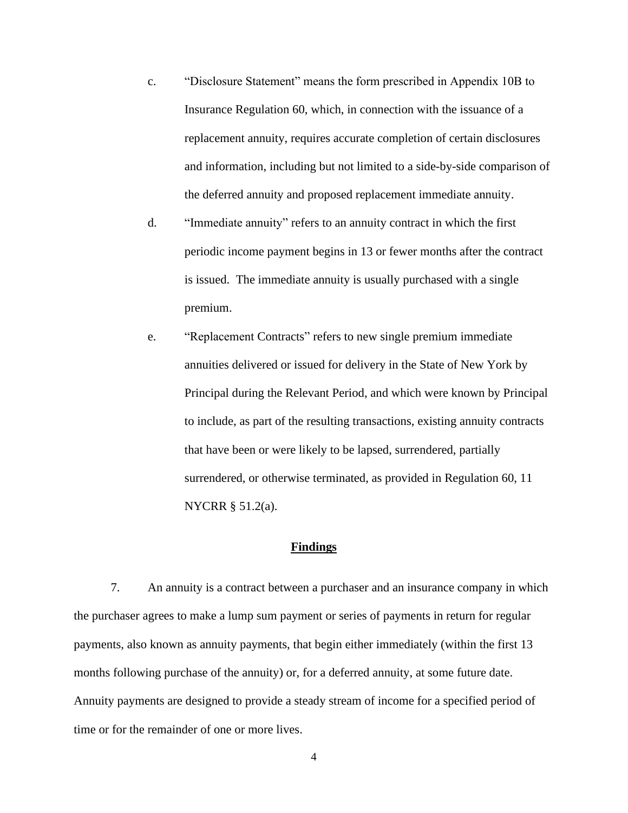- c. "Disclosure Statement" means the form prescribed in Appendix 10B to Insurance Regulation 60, which, in connection with the issuance of a replacement annuity, requires accurate completion of certain disclosures and information, including but not limited to a side-by-side comparison of the deferred annuity and proposed replacement immediate annuity.
- d. "Immediate annuity" refers to an annuity contract in which the first periodic income payment begins in 13 or fewer months after the contract is issued. The immediate annuity is usually purchased with a single premium.
- e. "Replacement Contracts" refers to new single premium immediate annuities delivered or issued for delivery in the State of New York by Principal during the Relevant Period, and which were known by Principal to include, as part of the resulting transactions, existing annuity contracts that have been or were likely to be lapsed, surrendered, partially surrendered, or otherwise terminated, as provided in Regulation 60, 11 NYCRR § 51.2(a).

## **Findings**

7. An annuity is a contract between a purchaser and an insurance company in which the purchaser agrees to make a lump sum payment or series of payments in return for regular payments, also known as annuity payments, that begin either immediately (within the first 13 months following purchase of the annuity) or, for a deferred annuity, at some future date. Annuity payments are designed to provide a steady stream of income for a specified period of time or for the remainder of one or more lives.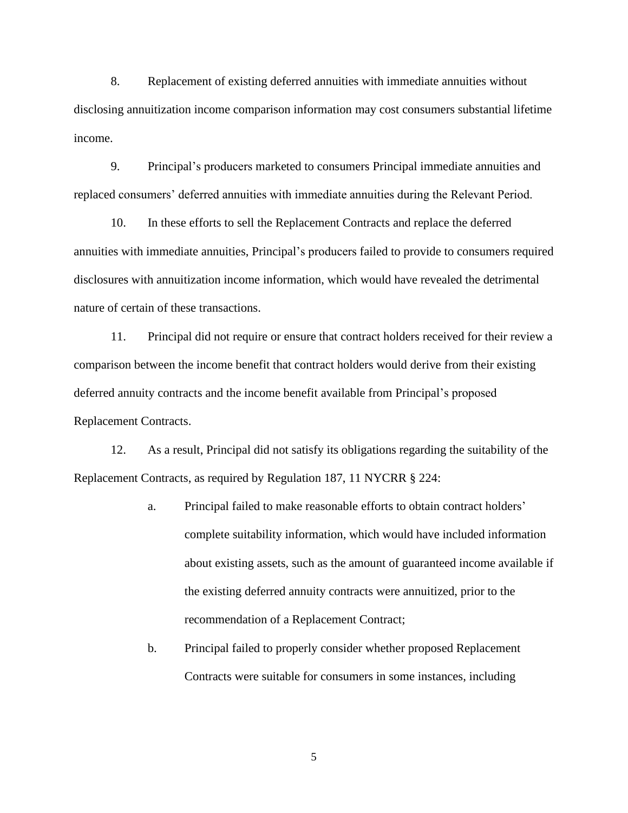8. Replacement of existing deferred annuities with immediate annuities without disclosing annuitization income comparison information may cost consumers substantial lifetime income.

9. Principal's producers marketed to consumers Principal immediate annuities and replaced consumers' deferred annuities with immediate annuities during the Relevant Period.

10. In these efforts to sell the Replacement Contracts and replace the deferred annuities with immediate annuities, Principal's producers failed to provide to consumers required disclosures with annuitization income information, which would have revealed the detrimental nature of certain of these transactions.

11. Principal did not require or ensure that contract holders received for their review a comparison between the income benefit that contract holders would derive from their existing deferred annuity contracts and the income benefit available from Principal's proposed Replacement Contracts.

12. As a result, Principal did not satisfy its obligations regarding the suitability of the Replacement Contracts, as required by Regulation 187, 11 NYCRR § 224:

- a. Principal failed to make reasonable efforts to obtain contract holders' complete suitability information, which would have included information about existing assets, such as the amount of guaranteed income available if the existing deferred annuity contracts were annuitized, prior to the recommendation of a Replacement Contract;
- b. Principal failed to properly consider whether proposed Replacement Contracts were suitable for consumers in some instances, including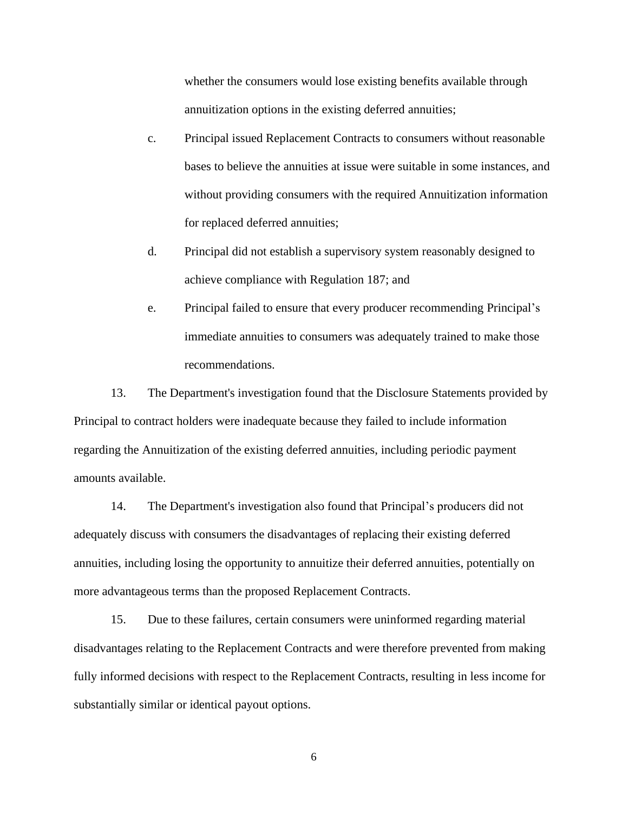whether the consumers would lose existing benefits available through annuitization options in the existing deferred annuities;

- c. Principal issued Replacement Contracts to consumers without reasonable bases to believe the annuities at issue were suitable in some instances, and without providing consumers with the required Annuitization information for replaced deferred annuities;
- d. Principal did not establish a supervisory system reasonably designed to achieve compliance with Regulation 187; and
- e. Principal failed to ensure that every producer recommending Principal's immediate annuities to consumers was adequately trained to make those recommendations.

13. The Department's investigation found that the Disclosure Statements provided by Principal to contract holders were inadequate because they failed to include information regarding the Annuitization of the existing deferred annuities, including periodic payment amounts available.

14. The Department's investigation also found that Principal's producers did not adequately discuss with consumers the disadvantages of replacing their existing deferred annuities, including losing the opportunity to annuitize their deferred annuities, potentially on more advantageous terms than the proposed Replacement Contracts.

15. Due to these failures, certain consumers were uninformed regarding material disadvantages relating to the Replacement Contracts and were therefore prevented from making fully informed decisions with respect to the Replacement Contracts, resulting in less income for substantially similar or identical payout options.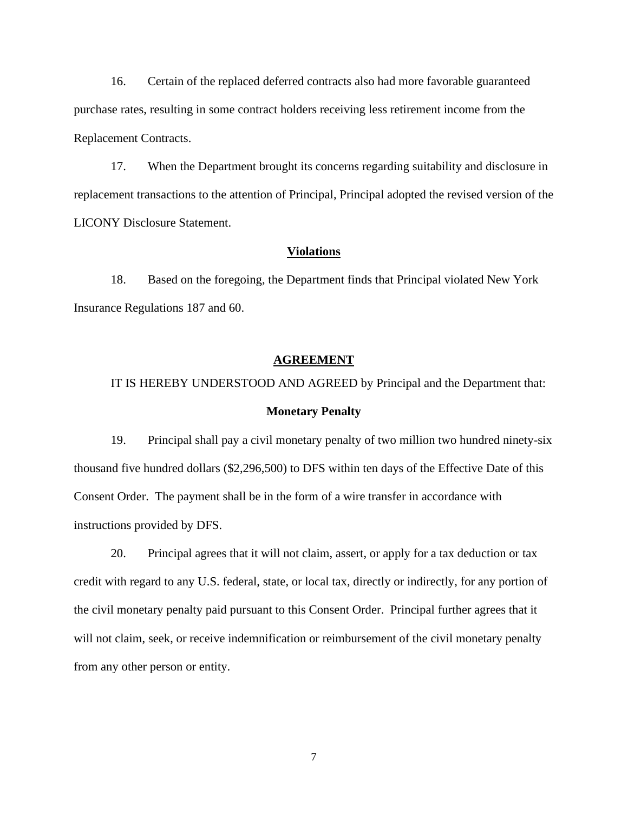16. Certain of the replaced deferred contracts also had more favorable guaranteed purchase rates, resulting in some contract holders receiving less retirement income from the Replacement Contracts.

17. When the Department brought its concerns regarding suitability and disclosure in replacement transactions to the attention of Principal, Principal adopted the revised version of the LICONY Disclosure Statement.

### **Violations**

18. Based on the foregoing, the Department finds that Principal violated New York Insurance Regulations 187 and 60.

### **AGREEMENT**

# IT IS HEREBY UNDERSTOOD AND AGREED by Principal and the Department that: **Monetary Penalty**

19. Principal shall pay a civil monetary penalty of two million two hundred ninety-six thousand five hundred dollars (\$2,296,500) to DFS within ten days of the Effective Date of this Consent Order. The payment shall be in the form of a wire transfer in accordance with instructions provided by DFS.

20. Principal agrees that it will not claim, assert, or apply for a tax deduction or tax credit with regard to any U.S. federal, state, or local tax, directly or indirectly, for any portion of the civil monetary penalty paid pursuant to this Consent Order. Principal further agrees that it will not claim, seek, or receive indemnification or reimbursement of the civil monetary penalty from any other person or entity.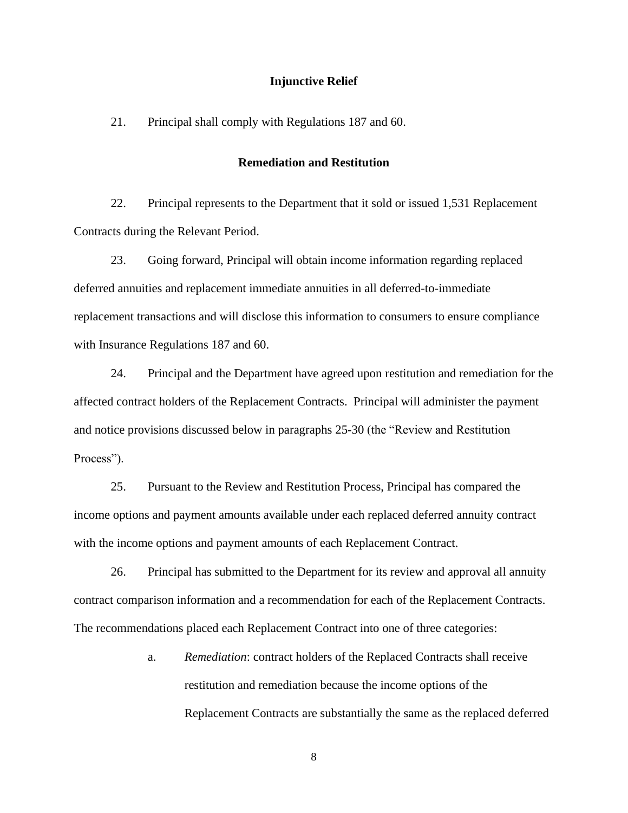## **Injunctive Relief**

21. Principal shall comply with Regulations 187 and 60.

### **Remediation and Restitution**

22. Principal represents to the Department that it sold or issued 1,531 Replacement Contracts during the Relevant Period.

23. Going forward, Principal will obtain income information regarding replaced deferred annuities and replacement immediate annuities in all deferred-to-immediate replacement transactions and will disclose this information to consumers to ensure compliance with Insurance Regulations 187 and 60.

24. Principal and the Department have agreed upon restitution and remediation for the affected contract holders of the Replacement Contracts. Principal will administer the payment and notice provisions discussed below in paragraphs 25-30 (the "Review and Restitution Process").

25. Pursuant to the Review and Restitution Process, Principal has compared the income options and payment amounts available under each replaced deferred annuity contract with the income options and payment amounts of each Replacement Contract.

26. Principal has submitted to the Department for its review and approval all annuity contract comparison information and a recommendation for each of the Replacement Contracts. The recommendations placed each Replacement Contract into one of three categories:

> a. *Remediation*: contract holders of the Replaced Contracts shall receive restitution and remediation because the income options of the Replacement Contracts are substantially the same as the replaced deferred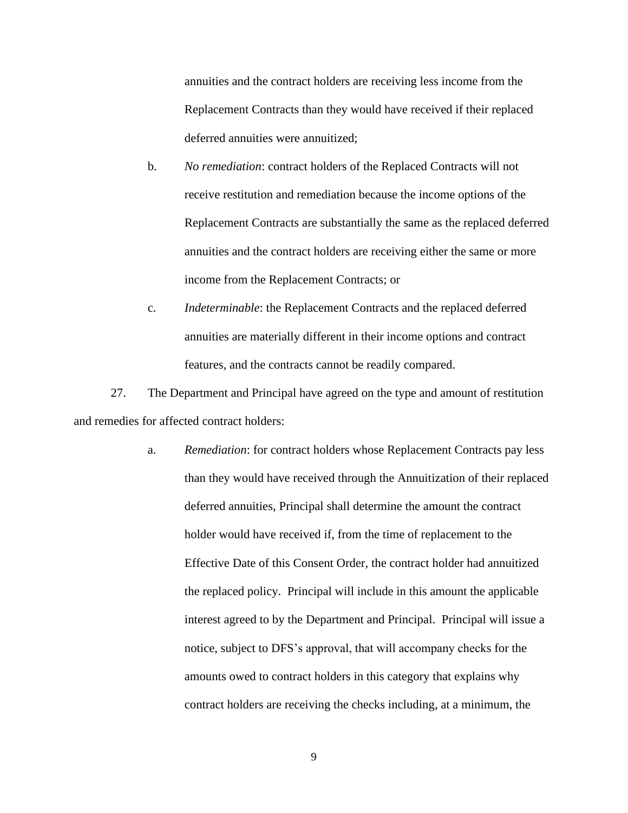annuities and the contract holders are receiving less income from the Replacement Contracts than they would have received if their replaced deferred annuities were annuitized;

- b. *No remediation*: contract holders of the Replaced Contracts will not receive restitution and remediation because the income options of the Replacement Contracts are substantially the same as the replaced deferred annuities and the contract holders are receiving either the same or more income from the Replacement Contracts; or
- c. *Indeterminable*: the Replacement Contracts and the replaced deferred annuities are materially different in their income options and contract features, and the contracts cannot be readily compared.

27. The Department and Principal have agreed on the type and amount of restitution and remedies for affected contract holders:

> a. *Remediation*: for contract holders whose Replacement Contracts pay less than they would have received through the Annuitization of their replaced deferred annuities, Principal shall determine the amount the contract holder would have received if, from the time of replacement to the Effective Date of this Consent Order, the contract holder had annuitized the replaced policy. Principal will include in this amount the applicable interest agreed to by the Department and Principal. Principal will issue a notice, subject to DFS's approval, that will accompany checks for the amounts owed to contract holders in this category that explains why contract holders are receiving the checks including, at a minimum, the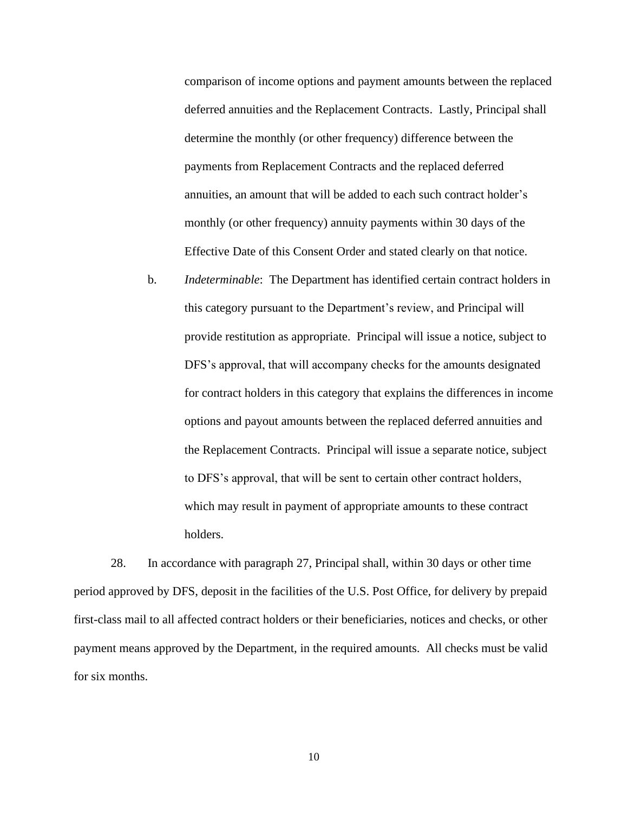comparison of income options and payment amounts between the replaced deferred annuities and the Replacement Contracts. Lastly, Principal shall determine the monthly (or other frequency) difference between the payments from Replacement Contracts and the replaced deferred annuities, an amount that will be added to each such contract holder's monthly (or other frequency) annuity payments within 30 days of the Effective Date of this Consent Order and stated clearly on that notice.

b. *Indeterminable*: The Department has identified certain contract holders in this category pursuant to the Department's review, and Principal will provide restitution as appropriate. Principal will issue a notice, subject to DFS's approval, that will accompany checks for the amounts designated for contract holders in this category that explains the differences in income options and payout amounts between the replaced deferred annuities and the Replacement Contracts. Principal will issue a separate notice, subject to DFS's approval, that will be sent to certain other contract holders, which may result in payment of appropriate amounts to these contract holders.

28. In accordance with paragraph 27, Principal shall, within 30 days or other time period approved by DFS, deposit in the facilities of the U.S. Post Office, for delivery by prepaid first-class mail to all affected contract holders or their beneficiaries, notices and checks, or other payment means approved by the Department, in the required amounts. All checks must be valid for six months.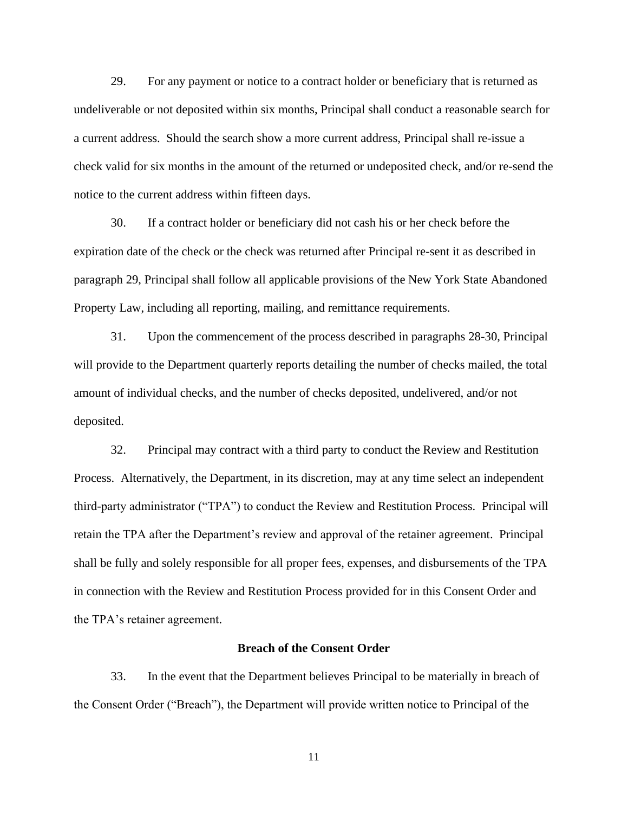29. For any payment or notice to a contract holder or beneficiary that is returned as undeliverable or not deposited within six months, Principal shall conduct a reasonable search for a current address. Should the search show a more current address, Principal shall re-issue a check valid for six months in the amount of the returned or undeposited check, and/or re-send the notice to the current address within fifteen days.

30. If a contract holder or beneficiary did not cash his or her check before the expiration date of the check or the check was returned after Principal re-sent it as described in paragraph 29, Principal shall follow all applicable provisions of the New York State Abandoned Property Law, including all reporting, mailing, and remittance requirements.

31. Upon the commencement of the process described in paragraphs 28-30, Principal will provide to the Department quarterly reports detailing the number of checks mailed, the total amount of individual checks, and the number of checks deposited, undelivered, and/or not deposited.

32. Principal may contract with a third party to conduct the Review and Restitution Process. Alternatively, the Department, in its discretion, may at any time select an independent third-party administrator ("TPA") to conduct the Review and Restitution Process. Principal will retain the TPA after the Department's review and approval of the retainer agreement. Principal shall be fully and solely responsible for all proper fees, expenses, and disbursements of the TPA in connection with the Review and Restitution Process provided for in this Consent Order and the TPA's retainer agreement.

## **Breach of the Consent Order**

33. In the event that the Department believes Principal to be materially in breach of the Consent Order ("Breach"), the Department will provide written notice to Principal of the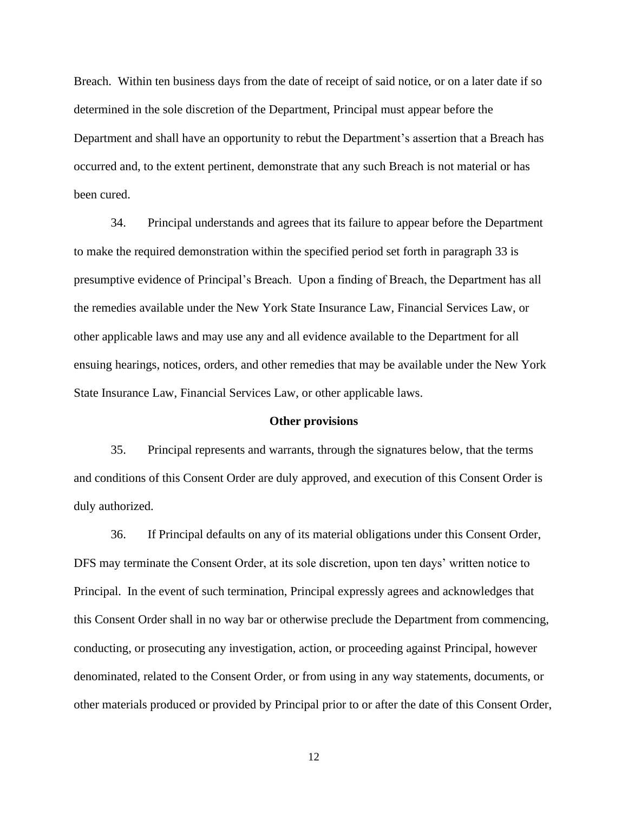Breach. Within ten business days from the date of receipt of said notice, or on a later date if so determined in the sole discretion of the Department, Principal must appear before the Department and shall have an opportunity to rebut the Department's assertion that a Breach has occurred and, to the extent pertinent, demonstrate that any such Breach is not material or has been cured.

34. Principal understands and agrees that its failure to appear before the Department to make the required demonstration within the specified period set forth in paragraph 33 is presumptive evidence of Principal's Breach. Upon a finding of Breach, the Department has all the remedies available under the New York State Insurance Law, Financial Services Law, or other applicable laws and may use any and all evidence available to the Department for all ensuing hearings, notices, orders, and other remedies that may be available under the New York State Insurance Law, Financial Services Law, or other applicable laws.

#### **Other provisions**

35. Principal represents and warrants, through the signatures below, that the terms and conditions of this Consent Order are duly approved, and execution of this Consent Order is duly authorized.

36. If Principal defaults on any of its material obligations under this Consent Order, DFS may terminate the Consent Order, at its sole discretion, upon ten days' written notice to Principal. In the event of such termination, Principal expressly agrees and acknowledges that this Consent Order shall in no way bar or otherwise preclude the Department from commencing, conducting, or prosecuting any investigation, action, or proceeding against Principal, however denominated, related to the Consent Order, or from using in any way statements, documents, or other materials produced or provided by Principal prior to or after the date of this Consent Order,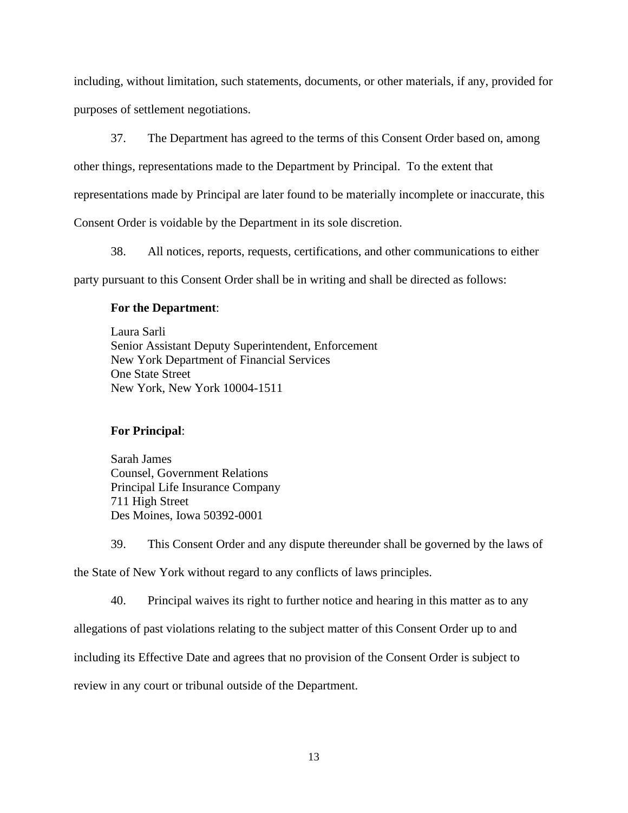including, without limitation, such statements, documents, or other materials, if any, provided for purposes of settlement negotiations.

37. The Department has agreed to the terms of this Consent Order based on, among

other things, representations made to the Department by Principal. To the extent that

representations made by Principal are later found to be materially incomplete or inaccurate, this

Consent Order is voidable by the Department in its sole discretion.

38. All notices, reports, requests, certifications, and other communications to either

party pursuant to this Consent Order shall be in writing and shall be directed as follows:

## **For the Department**:

Laura Sarli Senior Assistant Deputy Superintendent, Enforcement New York Department of Financial Services One State Street New York, New York 10004-1511

## **For Principal**:

Sarah James Counsel, Government Relations Principal Life Insurance Company 711 High Street Des Moines, Iowa 50392-0001

39. This Consent Order and any dispute thereunder shall be governed by the laws of the State of New York without regard to any conflicts of laws principles.

40. Principal waives its right to further notice and hearing in this matter as to any

allegations of past violations relating to the subject matter of this Consent Order up to and

including its Effective Date and agrees that no provision of the Consent Order is subject to

review in any court or tribunal outside of the Department.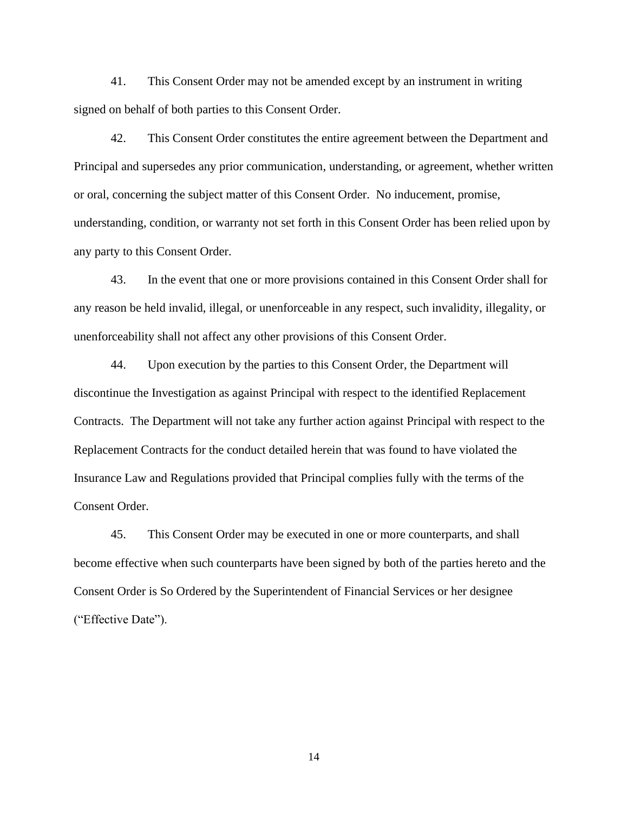41. This Consent Order may not be amended except by an instrument in writing signed on behalf of both parties to this Consent Order.

42. This Consent Order constitutes the entire agreement between the Department and Principal and supersedes any prior communication, understanding, or agreement, whether written or oral, concerning the subject matter of this Consent Order. No inducement, promise, understanding, condition, or warranty not set forth in this Consent Order has been relied upon by any party to this Consent Order.

43. In the event that one or more provisions contained in this Consent Order shall for any reason be held invalid, illegal, or unenforceable in any respect, such invalidity, illegality, or unenforceability shall not affect any other provisions of this Consent Order.

44. Upon execution by the parties to this Consent Order, the Department will discontinue the Investigation as against Principal with respect to the identified Replacement Contracts. The Department will not take any further action against Principal with respect to the Replacement Contracts for the conduct detailed herein that was found to have violated the Insurance Law and Regulations provided that Principal complies fully with the terms of the Consent Order.

45. This Consent Order may be executed in one or more counterparts, and shall become effective when such counterparts have been signed by both of the parties hereto and the Consent Order is So Ordered by the Superintendent of Financial Services or her designee ("Effective Date").